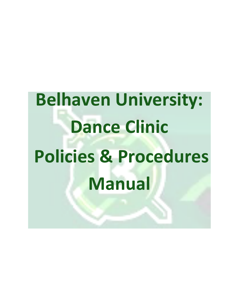**Belhaven University: Dance Clinic Policies & Procedures Manual**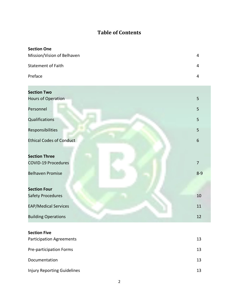# **Table of Contents**

| <b>Section One</b>         |   |
|----------------------------|---|
| Mission/Vision of Belhaven | 4 |
| <b>Statement of Faith</b>  | 4 |
| Preface                    | 4 |

| <b>Section Two</b>              |                |
|---------------------------------|----------------|
| Hours of Operation              | 5              |
| Personnel                       | 5              |
| Qualifications                  | 5              |
| Responsibilities                | 5              |
| <b>Ethical Codes of Conduct</b> | 6              |
|                                 |                |
| <b>Section Three</b>            |                |
| <b>COVID-19 Procedures</b>      | $\overline{7}$ |
| <b>Belhaven Promise</b>         | $8 - 9$        |
|                                 |                |
| <b>Section Four</b>             |                |
| Safety Procedures               | 10             |
| <b>EAP/Medical Services</b>     | $11\,$         |
| <b>Building Operations</b>      | 12             |

# **Section Five**

| <b>Participation Agreements</b>    | 13 |
|------------------------------------|----|
| Pre-participation Forms            | 13 |
| Documentation                      | 13 |
| <b>Injury Reporting Guidelines</b> | 13 |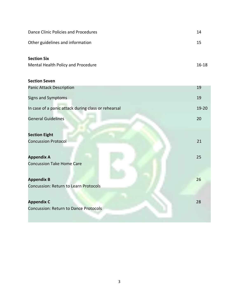| Dance Clinic Policies and Procedures | 14    |
|--------------------------------------|-------|
| Other guidelines and information     | 15    |
| <b>Section Six</b>                   |       |
| Mental Health Policy and Procedure   | 16-18 |

# **Section Seven**

| <b>Panic Attack Description</b>                     | 19    |
|-----------------------------------------------------|-------|
| <b>Signs and Symptoms</b>                           | 19    |
| In case of a panic attack during class or rehearsal | 19-20 |
| <b>General Guidelines</b>                           | 20    |
|                                                     |       |
| <b>Section Eight</b>                                |       |
| <b>Concussion Protocol</b>                          | 21    |
|                                                     |       |
| <b>Appendix A</b>                                   | 25    |
| <b>Concussion Take Home Care</b>                    |       |
|                                                     |       |
| <b>Appendix B</b>                                   | 26    |
| Concussion: Return to Learn Protocols               |       |
|                                                     |       |
| <b>Appendix C</b>                                   | 28    |
| Concussion: Return to Dance Protocols               |       |
|                                                     |       |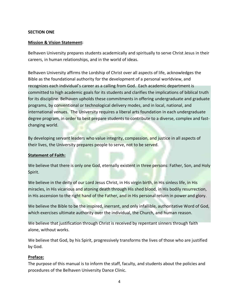### **SECTION ONE**

### **Mission & Vision Statement:**

Belhaven University prepares students academically and spiritually to serve Christ Jesus in their careers, in human relationships, and in the world of ideas.

Belhaven University affirms the Lordship of Christ over all aspects of life, acknowledges the Bible as the foundational authority for the development of a personal worldview, and recognizes each individual's career as a calling from God. Each academic department is committed to high academic goals for its students and clarifies the implications of biblical truth for its discipline. Belhaven upholds these commitments in offering undergraduate and graduate programs, by conventional or technological delivery modes, and in local, national, and international venues. The University requires a liberal arts foundation in each undergraduate degree program, in order to best prepare students to contribute to a diverse, complex and fastchanging world.

By developing servant leaders who value integrity, compassion, and justice in all aspects of their lives, the University prepares people to serve, not to be served.

### **Statement of Faith:**

We believe that there is only one God, eternally existent in three persons: Father, Son, and Holy Spirit.

We believe in the deity of our Lord Jesus Christ, in His virgin birth, in His sinless life, in His miracles, in His vicarious and atoning death through His shed blood, in His bodily resurrection, in His ascension to the right hand of the Father, and in His personal return in power and glory.

We believe the Bible to be the inspired, inerrant, and only infallible, authoritative Word of God, which exercises ultimate authority over the individual, the Church, and human reason.

We believe that justification through Christ is received by repentant sinners through faith alone, without works.

We believe that God, by his Spirit, progressively transforms the lives of those who are justified by God.

#### **Preface:**

The purpose of this manual is to inform the staff, faculty, and students about the policies and procedures of the Belhaven University Dance Clinic.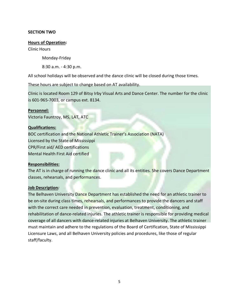### **SECTION TWO**

#### **Hours of Operation:**

Clinic Hours

Monday-Friday

8:30 a.m. - 4:30 p.m.

All school holidays will be observed and the dance clinic will be closed during those times.

These hours are subject to change based on AT availability.

Clinic is located Room 129 of Bitsy Irby Visual Arts and Dance Center. The number for the clinic is 601-965-7003, or campus ext. 8134.

#### **Personnel:**

Victoria Fauntroy, MS, LAT, ATC

#### **Qualifications:**

BOC certification and the National Athletic Trainer's Association (NATA) Licensed by the State of Mississippi CPR/First aid/ AED certifications Mental Health First Aid certified

#### **Responsibilities:**

The AT is in charge of running the dance clinic and all its entities. She covers Dance Department classes, rehearsals, and performances.

#### **Job Description***:*

The Belhaven University Dance Department has established the need for an athletic trainer to be on-site during class times, rehearsals, and performances to provide the dancers and staff with the correct care needed in prevention, evaluation, treatment, conditioning, and rehabilitation of dance-related injuries. The athletic trainer is responsible for providing medical coverage of all dancers with dance-related injuries at Belhaven University. The athletic trainer must maintain and adhere to the regulations of the Board of Certification, State of Mississippi Licensure Laws, and all Belhaven University policies and procedures, like those of regular staff/faculty.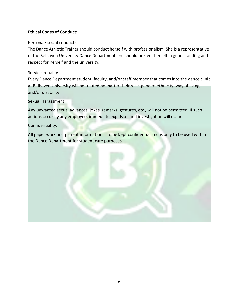# **Ethical Codes of Conduct:**

# Personal/ social conduct*:*

The Dance Athletic Trainer should conduct herself with professionalism. She is a representative of the Belhaven University Dance Department and should present herself in good standing and respect for herself and the university.

# Service equality*:*

Every Dance Department student, faculty, and/or staff member that comes into the dance clinic at Belhaven University will be treated no matter their race, gender, ethnicity, way of living, and/or disability.

# Sexual Harassment:

Any unwanted sexual advances, jokes, remarks, gestures, etc., will not be permitted. If such actions occur by any employee, immediate expulsion and investigation will occur.

# Confidentiality:

All paper work and patient information is to be kept confidential and is only to be used within the Dance Department for student care purposes.

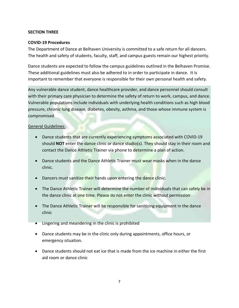### **SECTION THREE**

### **COVID-19 Procedures**

The Department of Dance at Belhaven University is committed to a safe return for all dancers. The health and safety of students, faculty, staff, and campus guests remain our highest priority.

Dance students are expected to follow the campus guidelines outlined in the Belhaven Promise. These additional guidelines must also be adhered to in order to participate in dance. It is important to remember that everyone is responsible for their own personal health and safety.

Any vulnerable dance student, dance healthcare provider, and dance personnel should consult with their primary care physician to determine the safety of return to work, campus, and dance. Vulnerable populations include individuals with underlying health conditions such as high blood pressure, chronic lung disease, diabetes, obesity, asthma, and those whose immune system is compromised.

### General Guidelines:

- Dance students that are currently experiencing symptoms associated with COVID-19 should **NOT** enter the dance clinic or dance studio(s). They should stay in their room and contact the Dance Athletic Trainer via phone to determine a plan of action.
- Dance students and the Dance Athletic Trainer must wear masks when in the dance clinic.
- Dancers must sanitize their hands upon entering the dance clinic.
- The Dance Athletic Trainer will determine the number of individuals that can safely be in the dance clinic at one time. Please do not enter the clinic without permission
- The Dance Athletic Trainer will be responsible for sanitizing equipment in the dance clinic
- Lingering and meandering in the clinic is prohibited
- Dance students may be in the clinic only during appointments, office hours, or emergency situation.
- Dance students should not eat ice that is made from the ice machine in either the first aid room or dance clinic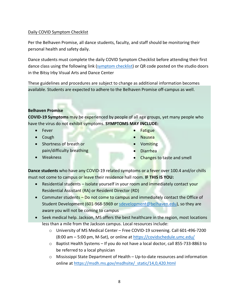### Daily COVID Symptom Checklist

Per the Belhaven Promise, all dance students, faculty, and staff should be monitoring their personal health and safety daily.

Dance students must complete the daily COVID Symptom Checklist before attending their first dance class using the following link (symptom checklist) or QR code posted on the studio doors in the Bitsy Irby Visual Arts and Dance Center

These guidelines and procedures are subject to change as additional information becomes available. Students are expected to adhere to the Belhaven Promise off-campus as well.

### **Belhaven Promise**

**COVID-19 Symptoms** may be experienced by people of all age groups, yet many people who have the virus do not exhibit symptoms. **SYMPTOMS MAY INCLUDE:**

- Fever
- Cough
- Shortness of breath or pain/difficulty breathing
- Weakness
- Fatigue
- Nausea
- Vomiting
- Diarrhea
- Changes to taste and smell

**Dance students** who have any COVID-19 related symptoms or a fever over 100.4 and/or chills must not come to campus or leave their residence hall room. **IF THIS IS YOU:**

- Residential students Isolate yourself in your room and immediately contact your Residential Assistant (RA) or Resident Director (RD)
- Commuter students Do not come to campus and immediately contact the Office of Student Development (601-968-5969 or sdevelopment@belhaven.edu), so they are aware you will not be coming to campus
- Seek medical help. Jackson, MS offers the best healthcare in the region, most locations less than a mile from the Jackson campus. Local resources include:
	- o University of MS Medical Center Free COVID-19 screening. Call 601-496-7200 (8:00 am – 5:00 pm, M-Sat), or online at https://covidschedule.umc.edu/
	- o Baptist Health Systems If you do not have a local doctor, call 855-733-8863 to be referred to a local physician
	- o Mississippi State Department of Health Up-to-date resources and information online at https://msdh.ms.gov/msdhsite/\_static/14,0,420.html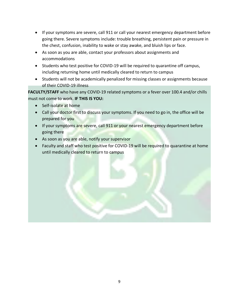- If your symptoms are severe, call 911 or call your nearest emergency department before going there. Severe symptoms include: trouble breathing, persistent pain or pressure in the chest, confusion, inability to wake or stay awake, and bluish lips or face.
- As soon as you are able, contact your professors about assignments and accommodations
- Students who test positive for COVID-19 will be required to quarantine off campus, including returning home until medically cleared to return to campus
- Students will not be academically penalized for missing classes or assignments because of their COVID-19 illness

**FACULTY/STAFF** who have any COVID-19 related symptoms or a fever over 100.4 and/or chills must not come to work. **IF THIS IS YOU:**

- Self-isolate at home
- Call your doctor first to discuss your symptoms. If you need to go in, the office will be prepared for you
- If your symptoms are severe, call 911 or your nearest emergency department before going there
- As soon as you are able, notify your supervisor
- Faculty and staff who test positive for COVID-19 will be required to quarantine at home until medically cleared to return to campus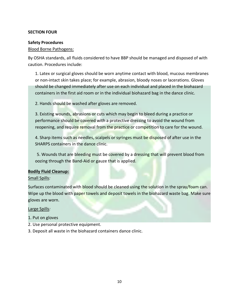### **SECTION FOUR**

### **Safety Procedures**

### Blood Borne Pathogens:

By OSHA standards, all fluids considered to have BBP should be managed and disposed of with caution. Procedures include:

1. Latex or surgical gloves should be worn anytime contact with blood, mucous membranes or non-intact skin takes place; for example, abrasion, bloody noses or lacerations. Gloves should be changed immediately after use on each individual and placed in the biohazard containers in the first aid room or in the individual biohazard bag in the dance clinic.

2. Hands should be washed after gloves are removed.

3. Existing wounds, abrasions or cuts which may begin to bleed during a practice or performance should be covered with a protective dressing to avoid the wound from reopening, and require removal from the practice or competition to care for the wound.

4. Sharp items such as needles, scalpels or syringes must be disposed of after use in the SHARPS containers in the dance clinic.

5. Wounds that are bleeding must be covered by a dressing that will prevent blood from oozing through the Band-Aid or gauze that is applied.

### **Bodily Fluid Cleanup:**

### Small Spills*:*

Surfaces contaminated with blood should be cleaned using the solution in the spray/foam can. Wipe up the blood with paper towels and deposit towels in the biohazard waste bag. Make sure gloves are worn.

Large Spills*:*

- 1. Put on gloves
- 2. Use personal protective equipment.
- 3. Deposit all waste in the biohazard containers dance clinic.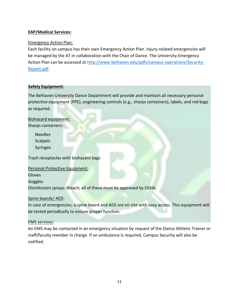# **EAP/Medical Services:**

# Emergency Action Plan:

Each facility on campus has their own Emergency Action Plan. Injury-related emergencies will be managed by the AT in collaboration with the Chair of Dance. The University Emergency Action Plan can be accessed at http://www.belhaven.edu/pdfs/campus-operations/Security-Report.pdf.

### **Safety Equipment:**

The Belhaven University Dance Department will provide and maintain all necessary personal protective equipment (PPE), engineering controls (e.g., sharps containers), labels, and red bags as required.

Biohazard equipment: Sharps containers:

> Needles **Scalpels** Syringes

Trash receptacles with biohazard bags

Personal Protective Equipment:

Gloves

Goggles

Disinfectant sprays: Bleach; all of these must be approved by OSHA.

### Spine boards/ AED:

In case of emergencies, a spine board and AED are on site with easy access. This equipment will be tested periodically to ensure proper function.

### EMS services:

An EMS may be contacted in an emergency situation by request of the Dance Athletic Trainer or staff/faculty member in charge. If an ambulance is required, Campus Security will also be notified.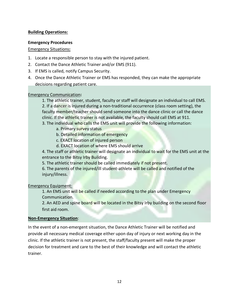# **Building Operations:**

### **Emergency Procedures**

### Emergency Situations**:**

- 1. Locate a responsible person to stay with the injured patient.
- 2. Contact the Dance Athletic Trainer and/or EMS (911).
- 3. If EMS is called, notify Campus Security.
- 4. Once the Dance Athletic Trainer or EMS has responded, they can make the appropriate decisions regarding patient care.

### Emergency Communication**:**

- 1. The athletic trainer, student, faculty or staff will designate an individual to call EMS. 2. If a dancer is injured during a non-traditional occurrence (class room setting), the faculty member/teacher should send someone into the dance clinic or call the dance clinic. If the athletic trainer is not available, the faculty should call EMS at 911. 3. The individual who calls the EMS unit will provide the following information:
	- a. Primary survey status
	- b. Detailed information of emergency
	- c. EXACT location of injured person
	- d. EXACT location of where EMS should arrive

4. The staff or athletic trainer will designate an individual to wait for the EMS unit at the entrance to the Bitsy Irby Building.

5. The athletic trainer should be called immediately if not present.

6. The parents of the injured/ill student-athlete will be called and notified of the injury/illness.

Emergency Equipment:

1. An EMS unit will be called if needed according to the plan under Emergency Communication.

2. An AED and spine board will be located in the Bitsy Irby building on the second floor first aid room.

### **Non-Emergency Situation**:

In the event of a non-emergent situation, the Dance Athletic Trainer will be notified and provide all necessary medical coverage either upon day of injury or next working day in the clinic. If the athletic trainer is not present, the staff/faculty present will make the proper decision for treatment and care to the best of their knowledge and will contact the athletic trainer.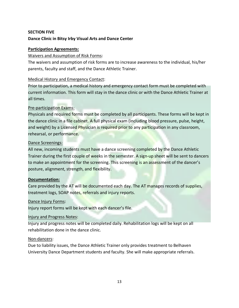# **SECTION FIVE**

# **Dance Clinic in Bitsy Irby Visual Arts and Dance Center**

### **Participation Agreements:**

### Waivers and Assumption of Risk Forms:

The waivers and assumption of risk forms are to increase awareness to the individual, his/her parents, faculty and staff, and the Dance Athletic Trainer.

### Medical History and Emergency Contact:

Prior to participation, a medical history and emergency contact form must be completed with current information. This form will stay in the dance clinic or with the Dance Athletic Trainer at all times.

# Pre-participation Exams:

Physicals and required forms must be completed by all participants. These forms will be kept in the dance clinic in a file cabinet. A full physical exam (including blood pressure, pulse, height, and weight) by a Licensed Physician is required prior to any participation in any classroom, rehearsal, or performance.

# Dance Screenings:

All new, incoming students must have a dance screening completed by the Dance Athletic Trainer during the first couple of weeks in the semester. A sign-up sheet will be sent to dancers to make an appointment for the screening. This screening is an assessment of the dancer's posture, alignment, strength, and flexibility.

### **Documentation:**

Care provided by the AT will be documented each day. The AT manages records of supplies, treatment logs, SOAP notes, referrals and injury reports.

### Dance Injury Forms:

Injury report forms will be kept with each dancer's file.

### Injury and Progress Notes:

Injury and progress notes will be completed daily. Rehabilitation logs will be kept on all rehabilitation done in the dance clinic.

### Non-dancers:

Due to liability issues, the Dance Athletic Trainer only provides treatment to Belhaven University Dance Department students and faculty. She will make appropriate referrals.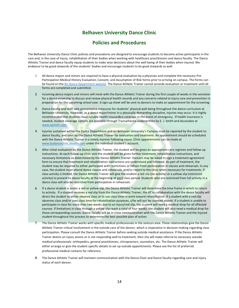# **Belhaven University Dance Clinic**

### **Policies and Procedures**

The Belhaven University Dance Clinic policies and procedures are designed to encourage students to become active participants in the care and, in the case of injury, rehabilitation of their bodies when working with healthcare practitioners and dance faculty. The Dance Athletic Trainer and dance faculty equip students to make wise decisions about the well-being of their bodies when injured. We endeavor to be good stewards of the students' bodies and encourage students to be good stewards as well.

- 1. All dance majors and minors are required to have a physical evaluation by a physician and complete the necessary Pre-Participation Medical History Evaluation, Consent, and Assumption of Risk forms prior to arriving on campus. The forms can be found on the BU Dance Department website. The Dance Athletic Trainer cannot provide evaluation or treatment until all forms are completed and submitted.
- 2. Incoming dance majors and minors will meet with the Dance Athletic Trainer during the first couple of weeks in the semester for a dance screening to discuss and review physical health records and any concerns related to injury care and prevention in preparation for the upcoming school year. A sign-up sheet will be sent to dancers to make an appointment for the screening.
- 3. Dance faculty and staff take preventative measures for students' physical well-being throughout the dance curriculum at Belhaven University. However, as a dance major/minor in a physically demanding discipline, injuries may occur. It is highly recommended that students have reliable health insuran8ce coverage in the event of emergency. If health insurance is needed, student coverage options are available through Transamerica underwritten by E. J. Smith and Associates at www.ejsmith.com.
- 4. Injuries sustained within the Dance Department and on Belhaven University's Campus must be reported by the student to dance faculty, and seen by the Dance Athletic Trainer for evaluation and treatment. An appointment should be scheduled with the Dance Athletic Trainer in a timely manner following injury. Clinic appointments can be made at www.budanceclinic.skedda.com under the individual student's account.
- 5. After initial evaluation by the Dance Athletic Trainer, the student will be given an appropriate care regimen and follow-up instructions. At each follow-up clinic visit the student will be given further treatment, rehabilitation instructions, and necessary limitations as determined by the Dance Athletic Trainer. Dancers may be asked to sign a treatment agreement form to ensure that treatment and rehabilitation instructions are understood and followed. As part of treatment, the student may be required to either participate with restrictions or refrain from participation in classes and rehearsals. In any case, the student must attend dance classes and rehearsals, and/or report to the clinic when necessary for treatments. If class activity is limited, the Dance Athletic Trainer will give the student a red slip (no activity) or a yellow slip (restricted activity) to present to dance faculty at the beginning of *each* class period. Students who are restricted from full activity in a dance class will also be restricted from participation in rehearsals.
- 6. If a dance student is under a red or yellow slip, the Dance Athletic Trainer will determine the time frame in which to return to activity. If a student receives a red slip from the Dance Athletic Trainer, the AT in collaboration with the dance faculty will direct the student to either observe class or to use class time to work toward rehabilitation. If a student with a red slip observes class and/or uses class time for rehabilitation purposes, s/he will *not* be counted absent. If a student is unable to participate in class for more than two weeks due to an injury/red slip, the student will need a medical drop for all affected courses. If limitations in class through a yellow slip reach a total of four weeks, the student will also need a medical drop for those corresponding courses. Dance faculty will be in close communication with the Dance Athletic Trainer and the injured student throughout this process to determine the best possible plan of action.
- 7. The Dance Athletic Trainer works with specific medical professionals in the Jackson area. These relationships give the Dance Athletic Trainer critical involvement in the outside care of the dancer, which is imperative in decision-making regarding class participation. Please consult the Dance Athletic Trainer before seeking outside medical assistance. If the Dance Athletic Trainer deems an injury severe or is not responding well to treatment, then she will make referral to necessary outside medical professionals: orthopedics, general practitioners, chiropractors, counselors, etc. The Dance Athletic Trainer will either arrange or give the student specific details to set up outside appointments. Please see the list of preferred professional medical contacts for reference.
- 8. The Dance Athletic Trainer will maintain communication with the Dance Chair and Dance faculty regarding care and injury status of each dancer.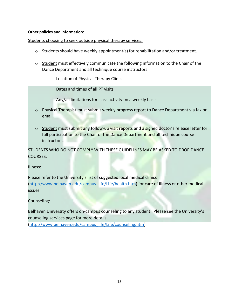### **Other policies and information:**

Students choosing to seek outside physical therapy services:

- o Students should have weekly appointment(s) for rehabilitation and/or treatment.
- $\circ$  Student must effectively communicate the following information to the Chair of the Dance Department and all technique course instructors:

Location of Physical Therapy Clinic

Dates and times of all PT visits

Any/all limitations for class activity on a weekly basis

- o Physical Therapist must submit weekly progress report to Dance Department via fax or email.
- o Student must submit any follow-up visit reports and a signed doctor's release letter for full participation to the Chair of the Dance Department and all technique course instructors.

STUDENTS WHO DO NOT COMPLY WITH THESE GUIDELINES MAY BE ASKED TO DROP DANCE COURSES.

Illness:

Please refer to the University's list of suggested local medical clinics (http://www.belhaven.edu/campus\_life/Life/health.htm) for care of illness or other medical issues.

Counseling:

Belhaven University offers on-campus counseling to any student. Please see the University's counseling services page for more details

(http://www.belhaven.edu/campus\_life/Life/counseling.htm).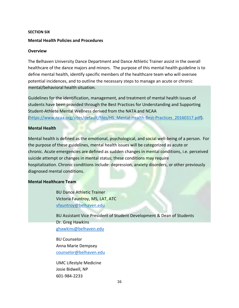#### **SECTION SIX**

#### **Mental Health Policies and Procedures**

#### **Overview**

The Belhaven University Dance Department and Dance Athletic Trainer assist in the overall healthcare of the dance majors and minors. The purpose of this mental health guideline is to define mental health, identify specific members of the healthcare team who will oversee potential incidences, and to outline the necessary steps to manage an acute or chronic mental/behavioral health situation.

Guidelines for the identification, management, and treatment of mental health issues of students have been provided through the Best Practices for Understanding and Supporting Student-Athlete Mental Wellness derived from the NATA and NCAA (https://www.ncaa.org/sites/default/files/HS\_Mental-Health-Best-Practices\_20160317.pdf).

### **Mental Health**

Mental health is defined as the emotional, psychological, and social well-being of a person. For the purpose of these guidelines, mental health issues will be categorized as acute or chronic. Acute emergencies are defined as sudden changes in mental conditions, i.e. perceived suicide attempt or changes in mental status; these conditions may require hospitalization. Chronic conditions include: depression, anxiety disorders, or other previously diagnosed mental conditions.

#### **Mental Healthcare Team**

BU Dance Athletic Trainer Victoria Fauntroy, MS, LAT, ATC vfauntroy@belhaven.edu

BU Assistant Vice President of Student Development & Dean of Students Dr. Greg Hawkins ghawkins@belhaven.edu

BU Counselor Anna Marie Dempsey counselor@belhaven.edu

UMC Lifestyle Medicine Josie Bidwell, NP 601-984-2233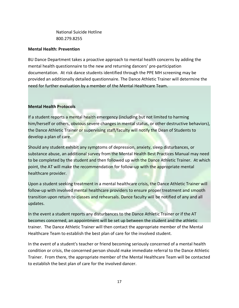National Suicide Hotline 800.279.8255

#### **Mental Health: Prevention**

BU Dance Department takes a proactive approach to mental health concerns by adding the mental health questionnaire to the new and returning dancers' pre-participation documentation. At risk dance students identified through the PPE MH screening may be provided an additionally detailed questionnaire. The Dance Athletic Trainer will determine the need for further evaluation by a member of the Mental Healthcare Team.

### **Mental Health Protocols**

If a student reports a mental health emergency (including but not limited to harming him/herself or others, obvious severe changes in mental status, or other destructive behaviors), the Dance Athletic Trainer or supervising staff/faculty will notify the Dean of Students to develop a plan of care.

Should any student exhibit any symptoms of depression, anxiety, sleep disturbances, or substance abuse, an additional survey from the Mental Health Best Practices Manual may need to be completed by the student and then followed up with the Dance Athletic Trainer. At which point, the AT will make the recommendation for follow-up with the appropriate mental healthcare provider.

Upon a student seeking treatment in a mental healthcare crisis, the Dance Athletic Trainer will follow-up with involved mental healthcare providers to ensure proper treatment and smooth transition upon return to classes and rehearsals. Dance faculty will be notified of any and all updates.

In the event a student reports any disturbances to the Dance Athletic Trainer or if the AT becomes concerned, an appointment will be set up between the student and the athletic trainer. The Dance Athletic Trainer will then contact the appropriate member of the Mental Healthcare Team to establish the best plan of care for the involved student.

In the event of a student's teacher or friend becoming seriously concerned of a mental health condition or crisis, the concerned person should make immediate referral to the Dance Athletic Trainer. From there, the appropriate member of the Mental Healthcare Team will be contacted to establish the best plan of care for the involved dancer.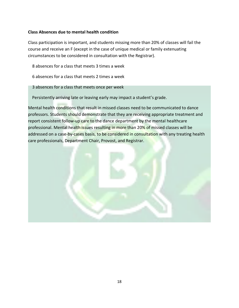# **Class Absences due to mental health condition**

Class participation is important, and students missing more than 20% of classes will fail the course and receive an F (except in the case of unique medical or family extenuating circumstances to be considered in consultation with the Registrar).

8 absences for a class that meets 3 times a week

6 absences for a class that meets 2 times a week

#### 3 absences for a class that meets once per week

Persistently arriving late or leaving early may impact a student's grade.

Mental health conditions that result in missed classes need to be communicated to dance professors. Students should demonstrate that they are receiving appropriate treatment and report consistent follow-up care to the dance department by the mental healthcare professional. Mental health issues resulting in more than 20% of missed classes will be addressed on a case-by-cases basis, to be considered in consultation with any treating health care professionals, Department Chair, Provost, and Registrar.

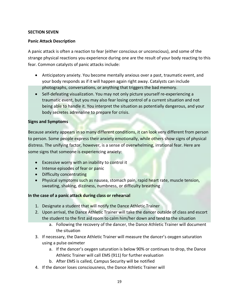### **SECTION SEVEN**

### **Panic Attack Description**

A panic attack is often a reaction to fear (either conscious or unconscious), and some of the strange physical reactions you experience during one are the result of your body reacting to this fear. Common catalysts of panic attacks include:

- Anticipatory anxiety. You become mentally anxious over a past, traumatic event, and your body responds as if it will happen again right away. Catalysts can include photographs, conversations, or anything that triggers the bad memory.
- Self-defeating visualization. You may not only picture yourself re-experiencing a traumatic event, but you may also fear losing control of a current situation and not being able to handle it. You interpret the situation as potentially dangerous, and your body secretes adrenaline to prepare for crisis.

### **Signs and Symptoms**

Because anxiety appears in so many different conditions, it can look very different from person to person. Some people express their anxiety emotionally, while others show signs of physical distress. The unifying factor, however, is a sense of overwhelming, irrational fear. Here are some signs that someone is experiencing anxiety:

- Excessive worry with an inability to control it
- Intense episodes of fear or panic
- Difficulty concentrating
- Physical symptoms such as nausea, stomach pain, rapid heart rate, muscle tension, sweating, shaking, dizziness, numbness, or difficulty breathing

### **In the case of a panic attack during class or rehearsal**

- 1. Designate a student that will notify the Dance Athletic Trainer
- 2. Upon arrival, the Dance Athletic Trainer will take the dancer outside of class and escort the student to the first aid room to calm him/her down and tend to the situation
	- a. Following the recovery of the dancer, the Dance Athletic Trainer will document the situation
- 3. If necessary, the Dance Athletic Trainer will measure the dancer's oxygen saturation using a pulse oximeter
	- a. If the dancer's oxygen saturation is below 90% or continues to drop, the Dance Athletic Trainer will call EMS (911) for further evaluation
	- b. After EMS is called, Campus Security will be notified
- 4. If the dancer loses consciousness, the Dance Athletic Trainer will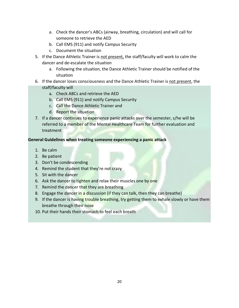- a. Check the dancer's ABCs (airway, breathing, circulation) and will call for someone to retrieve the AED
- b. Call EMS (911) and notify Campus Security
- c. Document the situation
- 5. If the Dance Athletic Trainer is not present, the staff/faculty will work to calm the dancer and de-escalate the situation
	- a. Following the situation, the Dance Athletic Trainer should be notified of the situation
- 6. If the dancer loses consciousness and the Dance Athletic Trainer is not present, the staff/faculty will
	- a. Check ABCs and retrieve the AED
	- b. Call EMS (911) and notify Campus Security
	- c. Call the Dance Athletic Trainer and
	- d. Report the situation
- 7. If a dancer continues to experience panic attacks over the semester, s/he will be referred to a member of the Mental Healthcare Team for further evaluation and treatment

### **General Guidelines when treating someone experiencing a panic attack**

- 1. Be calm
- 2. Be patient
- 3. Don't be condescending
- 4. Remind the student that they're not crazy
- 5. Sit with the dancer
- 6. Ask the dancer to tighten and relax their muscles one by one
- 7. Remind the dancer that they are breathing
- 8. Engage the dancer in a discussion (if they can talk, then they can breathe)
- 9. If the dancer is having trouble breathing, try getting them to exhale slowly or have them breathe through their nose
- 10. Put their hands their stomach to feel each breath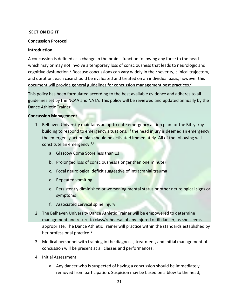#### **SECTION EIGHT**

#### **Concussion Protocol**

#### **Introduction**

A concussion is defined as a change in the brain's function following any force to the head which may or may not involve a temporary loss of consciousness that leads to neurologic and cognitive dysfunction.<sup>1</sup> Because concussions can vary widely in their severity, clinical trajectory, and duration, each case should be evaluated and treated on an individual basis, however this document will provide general guidelines for concussion management best practices.<sup>2</sup>

This policy has been formulated according to the best available evidence and adheres to all guidelines set by the NCAA and NATA. This policy will be reviewed and updated annually by the Dance Athletic Trainer.

#### **Concussion Management**

- 1. Belhaven University maintains an up-to-date emergency action plan for the Bitsy Irby building to respond to emergency situations. If the head injury is deemed an emergency, the emergency action plan should be activated immediately. All of the following will constitute an emergency: $1,2$ 
	- a. Glascow Coma Score less than 13
	- b. Prolonged loss of consciousness (longer than one minute)
	- c. Focal neurological deficit suggestive of intracranial trauma
	- d. Repeated vomiting
	- e. Persistently diminished or worsening mental status or other neurological signs or symptoms
	- f. Associated cervical spine injury
- 2. The Belhaven University Dance Athletic Trainer will be empowered to determine management and return to class/rehearsal of any injured or ill dancer, as she seems appropriate. The Dance Athletic Trainer will practice within the standards established by her professional practice. $1$
- 3. Medical personnel with training in the diagnosis, treatment, and initial management of concussion will be present at all classes and performances.
- 4. Initial Assessment
	- a. Any dancer who is suspected of having a concussion should be immediately removed from participation. Suspicion may be based on a blow to the head,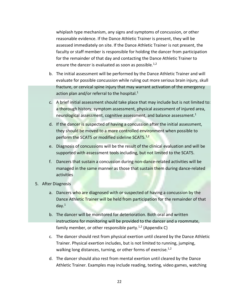whiplash type mechanism, any signs and symptoms of concussion, or other reasonable evidence. If the Dance Athletic Trainer is present, they will be assessed immediately on site. If the Dance Athletic Trainer is not present, the faculty or staff member is responsible for holding the dancer from participation for the remainder of that day and contacting the Dance Athletic Trainer to ensure the dancer is evaluated as soon as possible.<sup>1,2</sup>

- b. The initial assessment will be performed by the Dance Athletic Trainer and will evaluate for possible concussion while ruling out more serious brain injury, skull fracture, or cervical spine injury that may warrant activation of the emergency action plan and/or referral to the hospital. $1$
- c. A brief initial assessment should take place that may include but is not limited to: a thorough history, symptom assessment, physical assessment of injured area, neurological assessment, cognitive assessment, and balance assessment.<sup>1</sup>
- d. If the dancer is suspected of having a concussion after the initial assessment, they should be moved to a more controlled environment when possible to perform the SCAT5 or modified sideline SCAT5.<sup>1,2</sup>
- e. Diagnosis of concussions will be the result of the clinical evaluation and will be supported with assessment tools including, but not limited to the SCAT5.
- f. Dancers that sustain a concussion during non-dance-related activities will be managed in the same manner as those that sustain them during dance-related activities
- 5. After Diagnosis
	- a. Dancers who are diagnosed with or suspected of having a concussion by the Dance Athletic Trainer will be held from participation for the remainder of that day. $1$
	- b. The dancer will be monitored for deterioration. Both oral and written instructions for monitoring will be provided to the dancer and a roommate, family member, or other responsible party.<sup>1,2</sup> (Appendix C)
	- c. The dancer should rest from physical exertion until cleared by the Dance Athletic Trainer. Physical exertion includes, but is not limited to running, jumping, walking long distances, turning, or other forms of exercise. $1,2$
	- d. The dancer should also rest from mental exertion until cleared by the Dance Athletic Trainer. Examples may include reading, texting, video games, watching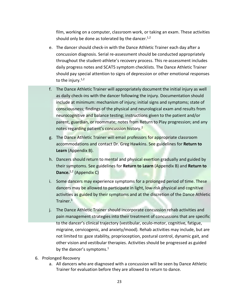film, working on a computer, classroom work, or taking an exam. These activities should only be done as tolerated by the dancer. $1,2$ 

- e. The dancer should check-in with the Dance Athletic Trainer each day after a concussion diagnosis. Serial re-assessment should be conducted appropriately throughout the student-athlete's recovery process. This re-assessment includes daily progress notes and SCAT5 symptom checklists. The Dance Athletic Trainer should pay special attention to signs of depression or other emotional responses to the injury. $1,2$
- f. The Dance Athletic Trainer will appropriately document the initial injury as well as daily check-ins with the dancer following the injury. Documentation should include at minimum: mechanism of injury; initial signs and symptoms; state of consciousness; findings of the physical and neurological exam and results from neurocognitive and balance testing; instructions given to the patient and/or parent, guardian, or roommate; notes from Return to Play progression; and any notes regarding patient's concussion history.<sup>2</sup>
- g. The Dance Athletic Trainer will email professors for appropriate classroom accommodations and contact Dr. Greg Hawkins. See guidelines for **Return to Learn** (Appendix B).
- h. Dancers should return to mental and physical exertion gradually and guided by their symptoms. See guidelines for **Return to Learn** (Appendix B) and **Return to Dance.**<sup>1,2</sup> (Appendix C)
- i. Some dancers may experience symptoms for a prolonged period of time. These dancers may be allowed to participate in light, low-risk physical and cognitive activities as guided by their symptoms and at the discretion of the Dance Athletic Trainer.1
- j. The Dance Athletic Trainer should incorporate concussion rehab activities and pain management strategies into their treatment of concussions that are specific to the dancer's clinical trajectory (vestibular, oculo-motor, cognitive, fatigue, migraine, cervicogenic, and anxiety/mood). Rehab activities may include, but are not limited to: gaze stability, proprioception, postural control, dynamic gait, and other vision and vestibular therapies. Activities should be progressed as guided by the dancer's symptoms.<sup>1</sup>
- 6. Prolonged Recovery
	- a. All dancers who are diagnosed with a concussion will be seen by Dance Athletic Trainer for evaluation before they are allowed to return to dance.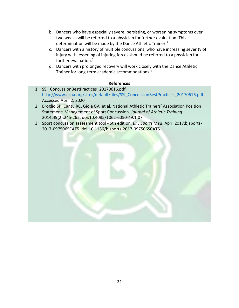- b. Dancers who have especially severe, persisting, or worsening symptoms over two weeks will be referred to a physician for further evaluation. This determination will be made by the Dance Athletic Trainer.<sup>1</sup>
- c. Dancers with a history of multiple concussions, who have increasing severity of injury with lessening of injuring forces should be referred to a physician for further evaluation.2
- d. Dancers with prolonged recovery will work closely with the Dance Athletic Trainer for long-term academic accommodations.<sup>1</sup>

# **References**

- 1. SSI\_ConcussionBestPractices\_20170616.pdf. http://www.ncaa.org/sites/default/files/SSI ConcussionBestPractices 20170616.pdf. Accessed April 2, 2020
- 2. Broglio SP, Cantu RC, Gioia GA, et al. National Athletic Trainers' Association Position Statement: Management of Sport Concussion. *Journal of Athletic Training*. 2014;49(2):245-265. doi:10.4085/1062-6050-49.1.07
- 3. Sport concussion assessment tool 5th edition. *Br J Sports Med*. April 2017:bjsports-2017-097506SCAT5. doi:10.1136/bjsports-2017-097506SCAT5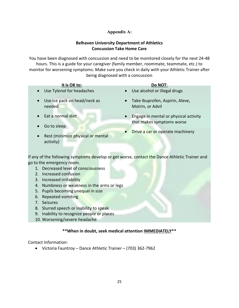# **Appendix A:**

# **Belhaven University Department of Athletics Concussion Take Home Care**

You have been diagnosed with concussion and need to be monitored closely for the next 24-48 hours. This is a guide for your caregiver (family member, roommate, teammate, etc.) to monitor for worsening symptoms. Make sure you check in daily with your Athletic Trainer after being diagnosed with a concussion

| It is OK to:                                                | Do NOT:                                                                         |
|-------------------------------------------------------------|---------------------------------------------------------------------------------|
| • Use Tylenol for headaches                                 | Use alcohol or illegal drugs<br>$\bullet$                                       |
| Use ice pack on head/neck as<br>$\bullet$<br>needed         | Take Ibuprofen, Aspirin, Aleve,<br>$\bullet$<br>Motrin, or Advil                |
| Eat a normal diet<br>$\bullet$<br>Go to sleep<br>$\bullet$  | Engage in mental or physical activity<br>$\bullet$<br>that makes symptoms worse |
| Rest (minimize physical or mental<br>$\bullet$<br>activity) | Drive a car or operate machinery<br>$\bullet$                                   |

If any of the following symptoms develop or get worse, contact the Dance Athletic Trainer and go to the emergency room.

- 1. Decreased level of consciousness
- 2. Increased confusion
- 3. Increased irritability
- 4. Numbness or weakness in the arms or legs
- 5. Pupils becoming unequal in size
- 6. Repeated vomiting
- 7. Seizures
- 8. Slurred speech or inability to speak
- 9. Inability to recognize people or places
- 10. Worsening/severe headache

# **\*\*When in doubt, seek medical attention IMMEDIATELY\*\***

Contact Information:

• Victoria Fauntroy – Dance Athletic Trainer – (703) 362-7962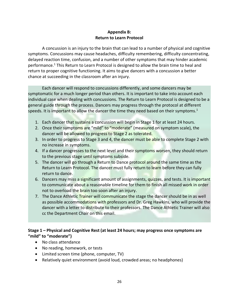# **Appendix B: Return to Learn Protocol**

A concussion is an injury to the brain that can lead to a number of physical and cognitive symptoms. Concussions may cause headaches, difficulty remembering, difficulty concentrating, delayed reaction time, confusion, and a number of other symptoms that may hinder academic performance.<sup>1</sup> This Return to Learn Protocol is designed to allow the brain time to heal and return to proper cognitive functioning. It aims to give dancers with a concussion a better chance at succeeding in the classroom after an injury.

Each dancer will respond to concussions differently, and some dancers may be symptomatic for a much longer period than others. It is important to take into account each individual case when dealing with concussions. The Return to Learn Protocol is designed to be a general guide through the process. Dancers may progress through the protocol at different speeds. It is important to allow the dancer the time they need based on their symptoms.<sup>1</sup>

- 1. Each dancer that sustains a concussion will begin in Stage 1 for at least 24 hours.
- 2. Once their symptoms are "mild" to "moderate" (measured on symptom scale), the dancer will be allowed to progress to Stage 2 as tolerated.
- 3. In order to progress to Stage 3 and 4, the dancer must be able to complete Stage 2 with no increase in symptoms.
- 4. If a dancer progresses to the next level and their symptoms worsen, they should return to the previous stage until symptoms subside.
- 5. The dancer will go through a Return to Dance protocol around the same time as the Return to Learn Protocol. The dancer must fully return to learn before they can fully return to dance.
- 6. Dancers may miss a significant amount of assignments, quizzes, and tests. It is important to communicate about a reasonable timeline for them to finish all missed work in order not to overload the brain too soon after an injury.
- 7. The Dance Athletic Trainer will communicate the stage the dancer should be in as well as possible accommodations with professors and Dr. Greg Hawkins, who will provide the dancer with a letter to distribute to their professors. The Dance Athletic Trainer will also cc the Department Chair on this email.

# **Stage 1 – Physical and Cognitive Rest (at least 24 hours; may progress once symptoms are "mild" to "moderate")**

- No class attendance
- No reading, homework, or tests
- Limited screen time (phone, computer, TV)
- Relatively quiet environment (avoid loud, crowded areas; no headphones)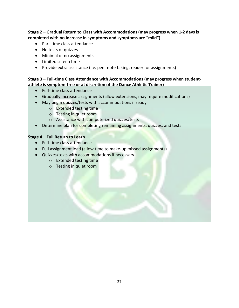**Stage 2 – Gradual Return to Class with Accommodations (may progress when 1-2 days is completed with no increase in symptoms and symptoms are "mild")** 

- Part-time class attendance
- No tests or quizzes
- Minimal or no assignments
- Limited screen time
- Provide extra assistance (i.e. peer note taking, reader for assignments)

# **Stage 3 – Full-time Class Attendance with Accommodations (may progress when studentathlete is symptom-free or at discretion of the Dance Athletic Trainer)**

- Full-time class attendance
- Gradually increase assignments (allow extensions, may require modifications)
- May begin quizzes/tests with accommodations if ready
	- o Extended testing time
	- o Testing in quiet room
	- o Assistance with computerized quizzes/tests
- Determine plan for completing remaining assignments, quizzes, and tests

# **Stage 4 – Full Return to Learn**

- Full-time class attendance
- Full assignment load (allow time to make-up missed assignments)
- Quizzes/tests with accommodations if necessary
	- o Extended testing time
	- o Testing in quiet room